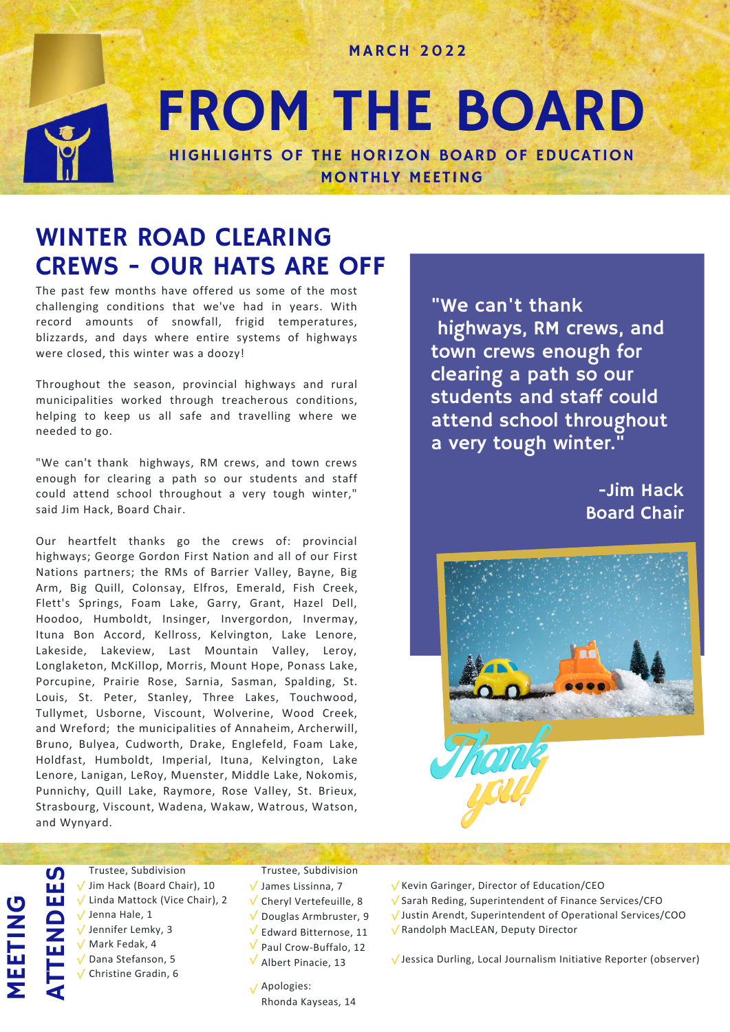MARCH 2022

# FROM THE BOARD HIGHLIGHTS OF THE HORIZON BOARD OF EDUCATION

MONTHLY MEETING

WINTER ROAD CLEARING CREWS - OUR HATS ARE OFF

The past few months have offered us some of the most challenging conditions that we've had in years. With record amounts of snowfall, frigid temperatures, blizzards, and days where entire systems of highways were closed, this winter was a doozy!

Throughout the season, provincial highways and rural municipalities worked through treacherous conditions, helping to keep us all safe and travelling where we needed to go.

"We can't thank highways, RM crews, and town crews enough for clearing a path so our students and staff could attend school throughout a very tough winter," said Jim Hack, Board Chair.

Our heartfelt thanks go the crews of: provincial highways; George Gordon First Nation and all of our First Nations partners; the RMs of Barrier Valley, Bayne, Big Arm, Big Quill, Colonsay, Elfros, Emerald, Fish Creek, Flett's Springs, Foam Lake, Garry, Grant, Hazel Dell, Hoodoo, Humboldt, Insinger, Invergordon, Invermay, Ituna Bon Accord, Kellross, Kelvington, Lake Lenore, Lakeside, Lakeview, Last Mountain Valley, Leroy, Longlaketon, McKillop, Morris, Mount Hope, Ponass Lake, Porcupine, Prairie Rose, Sarnia, Sasman, Spalding, St. Louis, St. Peter, Stanley, Three Lakes, Touchwood, Tullymet, Usborne, Viscount, Wolverine, Wood Creek, and Wreford; the municipalities of Annaheim, Archerwill, Bruno, Bulyea, Cudworth, Drake, Englefeld, Foam Lake, Holdfast, Humboldt, Imperial, Ituna, Kelvington, Lake Lenore, Lanigan, LeRoy, Muenster, Middle Lake, Nokomis, Punnichy, Quill Lake, Raymore, Rose Valley, St. Brieux, Strasbourg, Viscount, Wadena, Wakaw, Watrous, Watson, and Wynyard.

"We can't thank highways, RM crews, and town crews enough for clearing a path so our students and staff could attend school throughout a very tough winter."

> -Jim Hack Board Chair



MEETING ATTENDEES

Trustee, Subdivision √ Jim Hack (Board Chair), 10 Linda Mattock (Vice Chair), 2 √ √ Jenna Hale, 1 √ Jennifer Lemky, 3 Mark Fedak, 4 √ Dana Stefanson, 5 √ Christine Gradin, 6 √

Trustee, Subdivision √ James Lissinna, 7 √ Cheryl Vertefeuille, 8  $\sqrt{\ }$  Douglas Armbruster, 9  $\sqrt{\ }$  Edward Bitternose, 11 V Paul Crow-Buffalo, 12 Albert Pinacie, 13 √

- Apologies: √Rhonda Kayseas, 14
- √ Kevin Garinger, Director of Education/CEO
- √ Sarah Reding, Superintendent of Finance Services/CFO
- √ Justin Arendt, Superintendent of Operational Services/COO
- √ Randolph MacLEAN, Deputy Director

√ Jessica Durling, Local Journalism Initiative Reporter (observer)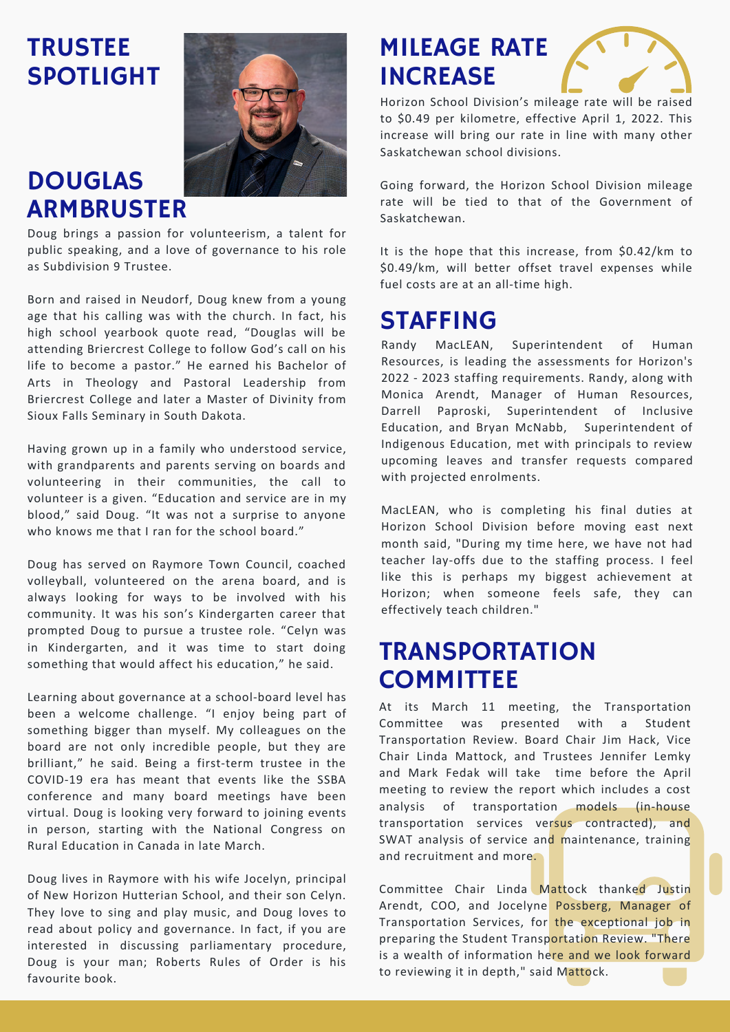### **TRUSTEE** SPOTLIGHT

### DOUGLAS ARMBRUSTER

Doug brings a passion for volunteerism, a talent for public speaking, and a love of governance to his role as Subdivision 9 Trustee.

Born and raised in Neudorf, Doug knew from a young age that his calling was with the church. In fact, his high school yearbook quote read, "Douglas will be attending Briercrest College to follow God's call on his life to become a pastor." He earned his Bachelor of Arts in Theology and Pastoral Leadership from Briercrest College and later a Master of Divinity from Sioux Falls Seminary in South Dakota.

Having grown up in a family who understood service, with grandparents and parents serving on boards and volunteering in their communities, the call to volunteer is a given. "Education and service are in my blood," said Doug. "It was not a surprise to anyone who knows me that I ran for the school board."

Doug has served on Raymore Town Council, coached volleyball, volunteered on the arena board, and is always looking for ways to be involved with his community. It was his son's Kindergarten career that prompted Doug to pursue a trustee role. "Celyn was in Kindergarten, and it was time to start doing something that would affect his education," he said.

Learning about governance at a school-board level has been a welcome challenge. "I enjoy being part of something bigger than myself. My colleagues on the board are not only incredible people, but they are brilliant," he said. Being a first-term trustee in the COVID-19 era has meant that events like the SSBA conference and many board meetings have been virtual. Doug is looking very forward to joining events in person, starting with the National Congress on Rural Education in Canada in late March.

Doug lives in Raymore with his wife Jocelyn, principal of New Horizon Hutterian School, and their son Celyn. They love to sing and play music, and Doug loves to read about policy and governance. In fact, if you are interested in discussing parliamentary procedure, Doug is your man; Roberts Rules of Order is his favourite book.

### MILEAGE RATE INCREASE



Horizon School Division's mileage rate will be raised to \$0.49 per kilometre, effective April 1, 2022. This increase will bring our rate in line with many other Saskatchewan school divisions.

Going forward, the Horizon School Division mileage rate will be tied to that of the Government of Saskatchewan.

It is the hope that this increase, from \$0.42/km to \$0.49/km, will better offset travel expenses while fuel costs are at an all-time high.

### STAFFING

Randy MacLEAN, Superintendent of Human Resources, is leading the assessments for Horizon's 2022 - 2023 staffing requirements. Randy, along with Monica Arendt, Manager of Human Resources, Darrell Paproski, Superintendent of Inclusive Education, and Bryan McNabb, Superintendent of Indigenous Education, met with principals to review upcoming leaves and transfer requests compared with projected enrolments.

MacLEAN, who is completing his final duties at Horizon School Division before moving east next month said, "During my time here, we have not had teacher lay-offs due to the staffing process. I feel like this is perhaps my biggest achievement at Horizon; when someone feels safe, they can effectively teach children."

### TRANSPORTATION **COMMITTEE**

At its March 11 meeting, the Transportation Committee was presented with a Student Transportation Review. Board Chair Jim Hack, Vice Chair Linda Mattock, and Trustees Jennifer Lemky and Mark Fedak will take time before the April meeting to review the report which includes a cost analysis of transportation models (in-house transportation services versus contracted), and SWAT analysis of service and maintenance, training and recruitment and more.

Committee Chair Linda Mattock thanked Justin Arendt, COO, and Jocelyne Possberg, Manager of Transportation Services, for the exceptional job in preparing the Student Transportation Review. "There is a wealth of information here and we look forward to reviewing it in depth," said Mattock.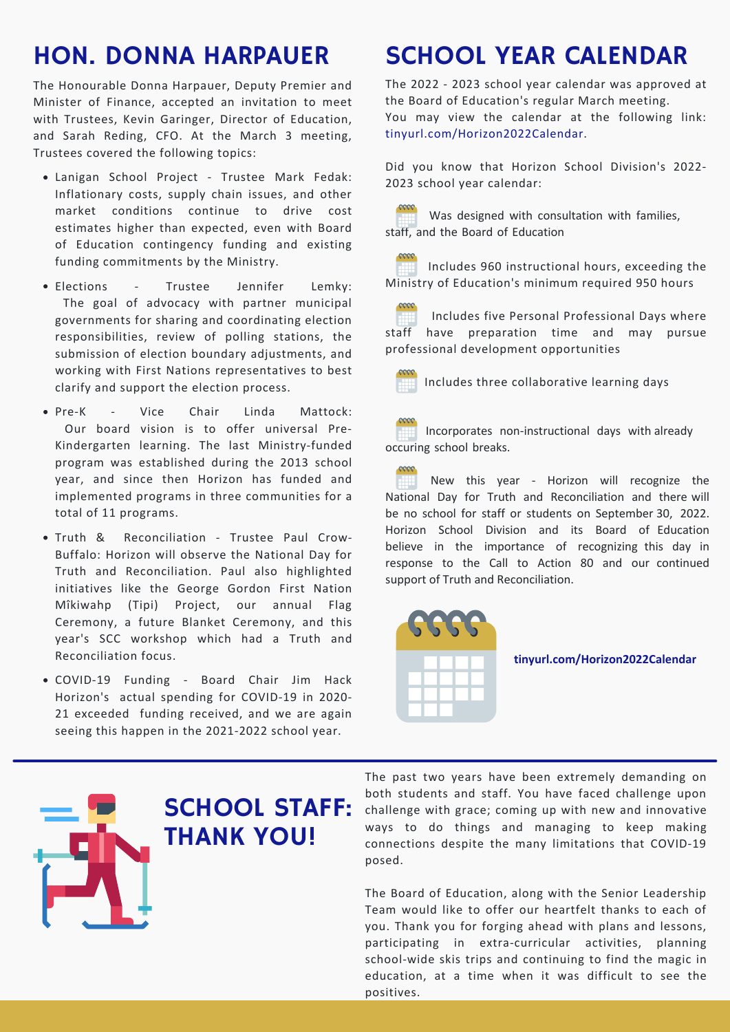### HON. DONNA HARPAUER

The Honourable Donna Harpauer, Deputy Premier and Minister of Finance, accepted an invitation to meet with Trustees, Kevin Garinger, Director of Education, and Sarah Reding, CFO. At the March 3 meeting, Trustees covered the following topics:

- Lanigan School Project Trustee Mark Fedak: Inflationary costs, supply chain issues, and other market conditions continue to drive cost estimates higher than expected, even with Board of Education contingency funding and existing funding commitments by the Ministry.
- Elections Trustee Jennifer Lemky: The goal of advocacy with partner municipal governments for sharing and coordinating election responsibilities, review of polling stations, the submission of election boundary adjustments, and working with First Nations representatives to best clarify and support the election process.
- Pre-K Vice Chair Linda Mattock: Our board vision is to offer universal Pre-Kindergarten learning. The last Ministry-funded program was established during the 2013 school year, and since then Horizon has funded and implemented programs in three communities for a total of 11 programs.
- Truth & Reconciliation Trustee Paul Crow-Buffalo: Horizon will observe the National Day for Truth and Reconciliation. Paul also highlighted initiatives like the George Gordon First Nation Mîkiwahp (Tipi) Project, our annual Flag Ceremony, a future Blanket Ceremony, and this year's SCC workshop which had a Truth and Reconciliation focus.
- COVID-19 Funding Board Chair Jim Hack Horizon's actual spending for COVID-19 in 2020- 21 exceeded funding received, and we are again seeing this happen in the 2021-2022 school year.

### SCHOOL STAFF: THANK YOU!

## SCHOOL YEAR CALENDAR

The 2022 - 2023 school year calendar was approved at the Board of Education's regular March meeting. You may view the calendar at the following link: tinyurl.com/Horizon2022Calendar.

Did you know that Horizon School Division's 2022- 2023 school year calendar:

Was designed with consultation with families, Ŧ staff, and the Board of Education

Includes 960 instructional hours, exceeding the Ministry of Education's minimum required 950 hours

Includes five Personal Professional Days where staff have preparation time and may pursue professional development opportunities

Includes three collaborative learning days

Incorporates non-instructional days with already occuring school breaks.

New this year - Horizon will recognize the National Day for Truth and Reconciliation and there will be no school for staff or students on September 30, 2022. Horizon School Division and its Board of Education believe in the importance of recognizing this day in response to the Call to Action 80 and our continued support of Truth and Reconciliation.



### **tinyurl.com/Horizon2022Calendar**

The past two years have been extremely demanding on both students and staff. You have faced challenge upon challenge with grace; coming up with new and innovative ways to do things and managing to keep making connections despite the many limitations that COVID-19 posed.

The Board of Education, along with the Senior Leadership Team would like to offer our heartfelt thanks to each of you. Thank you for forging ahead with plans and lessons, participating in extra-curricular activities, planning school-wide skis trips and continuing to find the magic in education, at a time when it was difficult to see the positives.